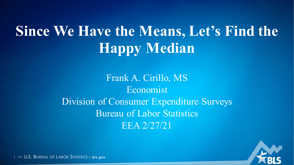# **Since We Have the Means, Let's Find the Happy Median**

Frank A. Cirillo, MS Economist Division of Consumer Expenditure Surveys Bureau of Labor Statistics EEA 2/27/21

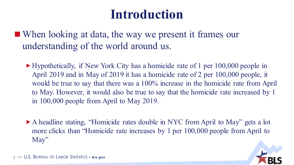### **Introduction**

■ When looking at data, the way we present it frames our understanding of the world around us.

- Hypothetically, if New York City has a homicide rate of 1 per 100,000 people in April 2019 and in May of 2019 it has a homicide rate of 2 per 100,000 people, it would be true to say that there was a 100% increase in the homicide rate from April to May. However, it would also be true to say that the homicide rate increased by 1 in 100,000 people from April to May 2019.
- A headline stating, "Homicide rates double in NYC from April to May" gets a lot more clicks than "Homicide rate increases by 1 per 100,000 people from April to May"

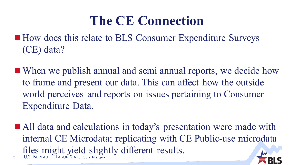### **The CE Connection**

- How does this relate to BLS Consumer Expenditure Surveys (CE) data?
- When we publish annual and semi annual reports, we decide how to frame and present our data. This can affect how the outside world perceives and reports on issues pertaining to Consumer Expenditure Data.
- <sup>3</sup> U.S. BUREAU OF LABOR STATISTICS **bls.gov** ■ All data and calculations in today's presentation were made with internal CE Microdata; replicating with CE Public-use microdata files might yield slightly different results.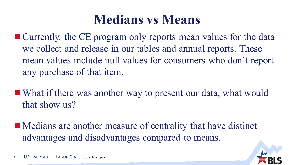### **Medians vs Means**

- Currently, the CE program only reports mean values for the data we collect and release in our tables and annual reports. These mean values include null values for consumers who don't report any purchase of that item.
- What if there was another way to present our data, what would that show us?
- Medians are another measure of centrality that have distinct advantages and disadvantages compared to means.

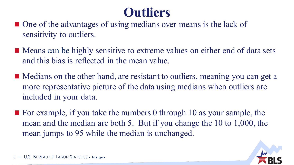### **Outliers**

- One of the advantages of using medians over means is the lack of sensitivity to outliers.
- Means can be highly sensitive to extreme values on either end of data sets and this bias is reflected in the mean value.
- Medians on the other hand, are resistant to outliers, meaning you can get a more representative picture of the data using medians when outliers are included in your data.
- $\blacksquare$  For example, if you take the numbers 0 through 10 as your sample, the mean and the median are both 5. But if you change the 10 to 1,000, the mean jumps to 95 while the median is unchanged.

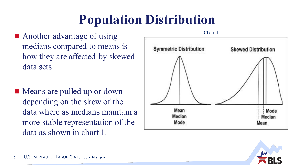# **Population Distribution**

- **Another advantage of using** medians compared to means is how they are affected by skewed data sets.
- Means are pulled up or down depending on the skew of the data where as medians maintain a more stable representation of the data as shown in chart 1.



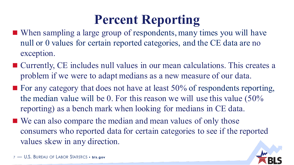# **Percent Reporting**

- When sampling a large group of respondents, many times you will have null or 0 values for certain reported categories, and the CE data are no exception.
- Currently, CE includes null values in our mean calculations. This creates a problem if we were to adapt medians as a new measure of our data.
- $\blacksquare$  For any category that does not have at least 50% of respondents reporting, the median value will be 0. For this reason we will use this value (50% reporting) as a bench mark when looking for medians in CE data.
- We can also compare the median and mean values of only those consumers who reported data for certain categories to see if the reported values skew in any direction.

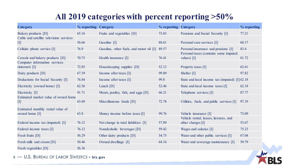#### **All 2019 categories with percent reporting >50%**

| Category                                                                                                                                                                                                                                                                                                                                                                                                                                                                                                                                                                                                                                                                                                                                                                                                                                                                                                                                                                                                                                 | % reporting Category |                                          | % reporting Category |                                                                | % reporting |
|------------------------------------------------------------------------------------------------------------------------------------------------------------------------------------------------------------------------------------------------------------------------------------------------------------------------------------------------------------------------------------------------------------------------------------------------------------------------------------------------------------------------------------------------------------------------------------------------------------------------------------------------------------------------------------------------------------------------------------------------------------------------------------------------------------------------------------------------------------------------------------------------------------------------------------------------------------------------------------------------------------------------------------------|----------------------|------------------------------------------|----------------------|----------------------------------------------------------------|-------------|
| Bakery products [D]                                                                                                                                                                                                                                                                                                                                                                                                                                                                                                                                                                                                                                                                                                                                                                                                                                                                                                                                                                                                                      | 65.16                | Fruits and vegetables [D]                | 73.03                | Pensions and Social Security [I]                               | 77.21       |
| Cable and satellite television services<br>$[1] % \begin{center} % \includegraphics[width=\linewidth]{imagesSupplemental_3.png} % \end{center} % \caption { % Our method shows the method of the method. % Note that the method shows the method of the method. % Note that the method shows the method of the method. % Note that the method shows the method of the method. % Note that the method shows the method of the method. % Note that the method shows the method of the method. % Note that the method shows the method of the method. % Note that the method shows the method of the method. % Note that the method shows the method of the method. % Note that the method shows the method of the method. % Note that the method shows the method of the method. % Note that the method shows the method of the method. % Note that the method shows the method of the method. % Note that the method shows the method of the method. % Note that the method shows the method of the method. % Note that the method shows$ | 56.66                | Gasoline [I]                             | 88.61                | Personal care services [I]                                     | 60.17       |
| Cellular phone service [I]                                                                                                                                                                                                                                                                                                                                                                                                                                                                                                                                                                                                                                                                                                                                                                                                                                                                                                                                                                                                               | 76.9                 | Gasoline, other fuels, and motor oil [I] | 89.57                | Personal insurance and pensions [I]                            | 83.4        |
| Cereals and bakery products [D]<br>Computer information services                                                                                                                                                                                                                                                                                                                                                                                                                                                                                                                                                                                                                                                                                                                                                                                                                                                                                                                                                                         | 70.75                | Health insurance [I]                     | 76.41                | Personal taxes (contains some imputed<br>values) $[I]$         | 81.72       |
| $(internet)$ [I]                                                                                                                                                                                                                                                                                                                                                                                                                                                                                                                                                                                                                                                                                                                                                                                                                                                                                                                                                                                                                         | 72.85                | Housekeeping supplies [D]                | 52.12                | Property taxes [I]                                             | 62.61       |
| Dairy products [D]                                                                                                                                                                                                                                                                                                                                                                                                                                                                                                                                                                                                                                                                                                                                                                                                                                                                                                                                                                                                                       | 67.39                | Income after taxes [I]                   | 99.89                | Shelter [I]                                                    | 97.82       |
| Deductions for Social Security [I]                                                                                                                                                                                                                                                                                                                                                                                                                                                                                                                                                                                                                                                                                                                                                                                                                                                                                                                                                                                                       | 76.84                | Income after taxes [I]                   | 99.8                 | State and local income tax (imputed) [I] 62.18                 |             |
| Electricity (owned home) [I]                                                                                                                                                                                                                                                                                                                                                                                                                                                                                                                                                                                                                                                                                                                                                                                                                                                                                                                                                                                                             | 62.36                | Lunch $[D]$                              | 52.46                | State and local income taxes [I]                               | 62.18       |
| Electricity [I]                                                                                                                                                                                                                                                                                                                                                                                                                                                                                                                                                                                                                                                                                                                                                                                                                                                                                                                                                                                                                          | 91.71                | Meats, poultry, fish, and eggs [D]       | 66.21                | Telephone services [I]                                         | 87.77       |
| Estimated market value of owned home<br>$[1] % \includegraphics[width=0.9\columnwidth]{figures/fig_10.pdf} \caption{The graph $\mathcal{M}_1$ is a function of the number of times, and the number of times, and the number of times, are indicated with the number of times, and the number of times, are indicated with the number of times, and the number of times, are indicated with the number of times, and the number of times, are indicated with the number of times, and the number of times, are indicated with the number of times, and the number of times, are indicated with the number of times, and the number of times, are indicated with the number of times, and the number of times, are indicated with the number of times, and the number of times, are indicated with the number of times, and the number of times, are indicated with the number of times, and the number of times, are indicated with the number of times, and the number of times, are indicated with the number of times$                 | 63.69                | Miscellaneous foods [D]                  | 72.78                | Utilities, fuels, and public services [I]                      | 97.19       |
| Estimated monthly rental value of<br>owned home [I]                                                                                                                                                                                                                                                                                                                                                                                                                                                                                                                                                                                                                                                                                                                                                                                                                                                                                                                                                                                      | 63.8                 | Money income before taxes [I]            | 99.76                | Vehicle insurance [I]<br>Vehicle rental, leases, licenses, and | 73.09       |
| Federal income tax (imputed) [I]                                                                                                                                                                                                                                                                                                                                                                                                                                                                                                                                                                                                                                                                                                                                                                                                                                                                                                                                                                                                         | 76.12                | Net change in total liabilities [I]      | 57.89                | other charges [I]                                              | 53.67       |
| Federal income taxes [I]                                                                                                                                                                                                                                                                                                                                                                                                                                                                                                                                                                                                                                                                                                                                                                                                                                                                                                                                                                                                                 | 76.12                | Nonalcoholic beverages [D]               | 59.42                | Wages and salaries [I]                                         | 75.23       |
| Fresh fruits [D]                                                                                                                                                                                                                                                                                                                                                                                                                                                                                                                                                                                                                                                                                                                                                                                                                                                                                                                                                                                                                         | 56.29                | Other dairy products [D]                 | 54.75                | Water and other public services [I]                            | 67.04       |
| Fresh milk and cream [D]                                                                                                                                                                                                                                                                                                                                                                                                                                                                                                                                                                                                                                                                                                                                                                                                                                                                                                                                                                                                                 | 50.46                | Owned dwellings [I]                      | 64.16                | Water and sewerage maintenance [I]                             | 59.79       |
| Fresh vegetables [D]                                                                                                                                                                                                                                                                                                                                                                                                                                                                                                                                                                                                                                                                                                                                                                                                                                                                                                                                                                                                                     | 56.36                |                                          |                      |                                                                |             |

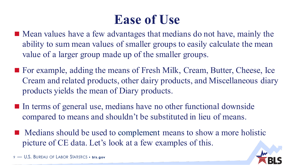### **Ease of Use**

- Mean values have a few advantages that medians do not have, mainly the ability to sum mean values of smaller groups to easily calculate the mean value of a larger group made up of the smaller groups.
- For example, adding the means of Fresh Milk, Cream, Butter, Cheese, Ice Cream and related products, other dairy products, and Miscellaneous diary products yields the mean of Diary products.
- In terms of general use, medians have no other functional downside compared to means and shouldn't be substituted in lieu of means.
- Medians should be used to complement means to show a more holistic picture of CE data. Let's look at a few examples of this.

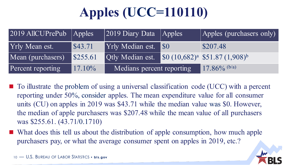# **Apples (UCC=110110)**

| $2019$ AllCUPrePub $\vert$ Apples |           | $\sqrt{2019}$ Diary Data                                   | $\sqrt{\text{Apples}}$ | $\vert$ Apples (purchasers only) $\vert$ |
|-----------------------------------|-----------|------------------------------------------------------------|------------------------|------------------------------------------|
| <b>Yrly Mean est.</b>             | \$43.71   | <b>Yrly Median est.</b>                                    | <b>SO</b>              | \$207.48                                 |
| Mean (purchasers)                 | S255.61   | Otly Median est. $\int 80 (10,682)^a \int 51.87 (1,908)^b$ |                        |                                          |
| Percent reporting                 | $17.10\%$ | Medians percent reporting                                  |                        | 17.86% $(b/a)$                           |

- To illustrate the problem of using a universal classification code (UCC) with a percent reporting under 50%, consider apples. The mean expenditure value for all consumer units (CU) on apples in 2019 was \$43.71 while the median value was \$0. However, the median of apple purchasers was \$207.48 while the mean value of all purchasers was \$255.61. (43.71/0.1710)
- What does this tell us about the distribution of apple consumption, how much apple purchasers pay, or what the average consumer spent on apples in 2019, etc.?

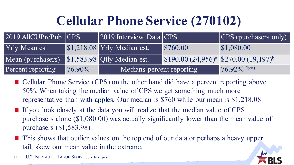# **Cellular Phone Service (270102)**

| $2019$ AllCUPrePub $ CPS $ |           | $ 2019$ Interview Data $ CPS $ |                                            | CPS (purchasers only) |
|----------------------------|-----------|--------------------------------|--------------------------------------------|-----------------------|
| <b>Yrly Mean est.</b>      |           | \$1,218.08 Yrly Median est.    | \$760.00                                   | $\$\,1,080.00$        |
| Mean (purchasers)          |           | \$1,583.98 Qtly Median est.    | $$190.00 (24,956)^a$ \$270.00 $(19,197)^b$ |                       |
| Percent reporting          | $76.90\%$ | Medians percent reporting      |                                            | $76.92\%$ (b/a)       |

- Cellular Phone Service (CPS) on the other hand did have a percent reporting above 50%. When taking the median value of CPS we get something much more representative than with apples. Our median is \$760 while our mean is \$1,218.08
- If you look closely at the data you will realize that the median value of CPS purchasers alone (\$1,080.00) was actually significantly lower than the mean value of purchasers (\$1,583.98)
- This shows that outlier values on the top end of our data or perhaps a heavy upper tail, skew our mean value in the extreme.
- <sup>11</sup> U.S. BUREAU OF LABOR STATISTICS **bls.gov**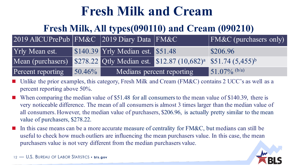### **Fresh Milk and Cream**

#### **Fresh Milk, All types(090110) and Cream (090210)**

| 2019 AllCUPrePub FM&C 2019 Diary Data FM&C                                                             |           |                                   |  | $\sqrt{\text{FM}\&C}$ (purchasers only) |
|--------------------------------------------------------------------------------------------------------|-----------|-----------------------------------|--|-----------------------------------------|
| Yrly Mean est.                                                                                         |           | \$140.39 Yrly Median est. \$51.48 |  | \$206.96                                |
| Mean (purchasers) \$278.22 Qtly Median est. \$12.87 (10,682) <sup>a</sup> \$51.74 (5,455) <sup>b</sup> |           |                                   |  |                                         |
| Percent reporting                                                                                      | $50.46\%$ | Medians percent reporting         |  | $\frac{151.07\%}{b/a}$                  |

- Unlike the prior examples, this category, Fresh Milk and Cream (FM&C) contains 2 UCC's as well as a percent reporting above 50%.
- When comparing the median value of \$51.48 for all consumers to the mean value of \$140.39, there is very noticeable difference. The mean of all consumers is almost 3 times larger than the median value of all consumers. However, the median value of purchasers, \$206.96, is actually pretty similar to the mean value of purchasers, \$278.22.
- In this case means can be a more accurate measure of centrality for FM&C, but medians can still be useful to check how much outliers are influencing the mean purchasers value. In this case, the mean purchasers value is not very different from the median purchasers value.

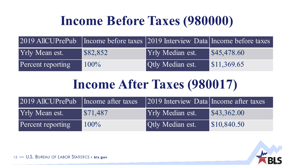## **Income Before Taxes (980000)**

|                       |          | 2019 AllCUPrePub   Income before taxes 2019 Interview Data Income before taxes |                                   |
|-----------------------|----------|--------------------------------------------------------------------------------|-----------------------------------|
| <b>Yrly Mean est.</b> | \$82,852 | <b>Yrly Median est.</b>                                                        | $\blacktriangleright$ \$45,478.60 |
| Percent reporting     | $100\%$  | <b>Qtly Median est.</b>                                                        | $\$\,11,369.65$                   |

### **Income After Taxes (980017)**

| 2019 AllCUPrePub   Income after taxes |                        | [2019 Interview Data Income after taxes] |                                   |
|---------------------------------------|------------------------|------------------------------------------|-----------------------------------|
| <b>Yrly Mean est.</b>                 | $\frac{1}{2}$ \$71,487 | <b>Yrly Median est.</b>                  | $\blacktriangleright$ \$43,362.00 |
| Percent reporting                     | $100\%$                | <b>Qtly Median est.</b>                  | $\$\,10,840.50$                   |

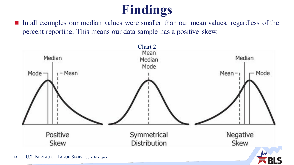# **Findings**

In all examples our median values were smaller than our mean values, regardless of the percent reporting. This means our data sample has a positive skew.

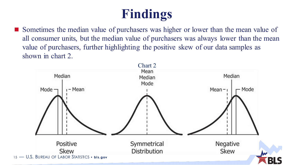# **Findings**

 Sometimes the median value of purchasers was higher or lower than the mean value of all consumer units, but the median value of purchasers was always lower than the mean value of purchasers, further highlighting the positive skew of our data samples as shown in chart 2.

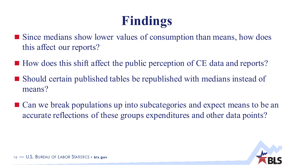# **Findings**

- Since medians show lower values of consumption than means, how does this affect our reports?
- $\blacksquare$  How does this shift affect the public perception of CE data and reports?
- Should certain published tables be republished with medians instead of means?
- Can we break populations up into subcategories and expect means to be an accurate reflections of these groups expenditures and other data points?

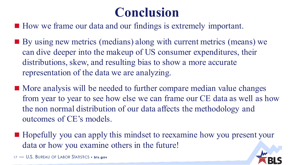### **Conclusion**

■ How we frame our data and our findings is extremely important.

- By using new metrics (medians) along with current metrics (means) we can dive deeper into the makeup of US consumer expenditures, their distributions, skew, and resulting bias to show a more accurate representation of the data we are analyzing.
- More analysis will be needed to further compare median value changes from year to year to see how else we can frame our CE data as well as how the non normal distribution of our data affects the methodology and outcomes of CE's models.
- Hopefully you can apply this mindset to reexamine how you present your data or how you examine others in the future!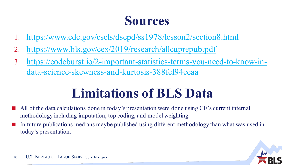### **Sources**

- 1. [https:/www.cdc.gov/csels/dsepd/ss1978/lesson2/section8.html](https://www.cdc.gov/csels/dsepd/ss1978/lesson2/section8.html)
- 2. <https://www.bls.gov/cex/2019/research/allcuprepub.pdf>
- 3. [https://codeburst.io/2-important-statistics-terms-you-need-to-know-in](https://codeburst.io/2-important-statistics-terms-you-need-to-know-in-data-science-skewness-and-kurtosis-388fef94eeaa)data-science-skewness-and-kurtosis-388fef94eeaa

## **Limitations of BLS Data**

- All of the data calculations done in today's presentation were done using CE's current internal methodology including imputation, top coding, and model weighting.
- In future publications medians maybe published using different methodology than what was used in today's presentation.